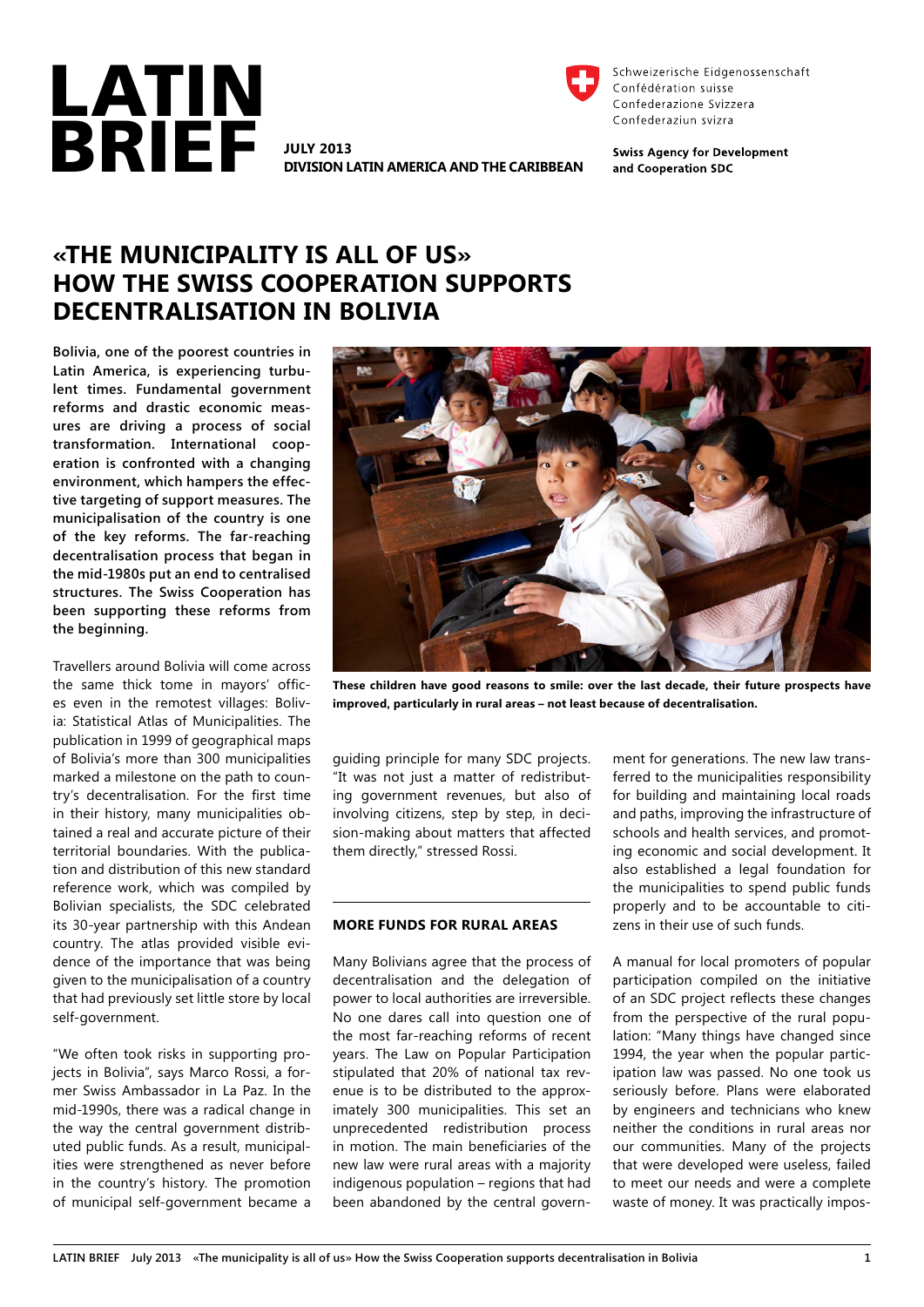

**Division Latin America and the Caribbean**



Schweizerische Eidgenossenschaft Confédération suisse Confederazione Svizzera Confederaziun svizra

**Swiss Agency for Development** and Cooperation SDC

# **«The municipality is all of us» How the Swiss Cooperation supports decentralisation in Bolivia**

**Bolivia, one of the poorest countries in Latin America, is experiencing turbulent times. Fundamental government reforms and drastic economic measures are driving a process of social transformation. International cooperation is confronted with a changing environment, which hampers the effective targeting of support measures. The municipalisation of the country is one of the key reforms. The far-reaching decentralisation process that began in the mid-1980s put an end to centralised structures. The Swiss Cooperation has been supporting these reforms from the beginning.** 

Travellers around Bolivia will come across the same thick tome in mayors' offices even in the remotest villages: Bolivia: Statistical Atlas of Municipalities. The publication in 1999 of geographical maps of Bolivia's more than 300 municipalities marked a milestone on the path to country's decentralisation. For the first time in their history, many municipalities obtained a real and accurate picture of their territorial boundaries. With the publication and distribution of this new standard reference work, which was compiled by Bolivian specialists, the SDC celebrated its 30-year partnership with this Andean country. The atlas provided visible evidence of the importance that was being given to the municipalisation of a country that had previously set little store by local self-government.

"We often took risks in supporting projects in Bolivia", says Marco Rossi, a former Swiss Ambassador in La Paz. In the mid-1990s, there was a radical change in the way the central government distributed public funds. As a result, municipalities were strengthened as never before in the country's history. The promotion of municipal self-government became a



**These children have good reasons to smile: over the last decade, their future prospects have improved, particularly in rural areas – not least because of decentralisation.** 

guiding principle for many SDC projects. "It was not just a matter of redistributing government revenues, but also of involving citizens, step by step, in decision-making about matters that affected them directly," stressed Rossi.

## **More funds for rural areas**

Many Bolivians agree that the process of decentralisation and the delegation of power to local authorities are irreversible. No one dares call into question one of the most far-reaching reforms of recent years. The Law on Popular Participation stipulated that 20% of national tax revenue is to be distributed to the approximately 300 municipalities. This set an unprecedented redistribution process in motion. The main beneficiaries of the new law were rural areas with a majority indigenous population – regions that had been abandoned by the central government for generations. The new law transferred to the municipalities responsibility for building and maintaining local roads and paths, improving the infrastructure of schools and health services, and promoting economic and social development. It also established a legal foundation for the municipalities to spend public funds properly and to be accountable to citizens in their use of such funds.

A manual for local promoters of popular participation compiled on the initiative of an SDC project reflects these changes from the perspective of the rural population: "Many things have changed since 1994, the year when the popular participation law was passed. No one took us seriously before. Plans were elaborated by engineers and technicians who knew neither the conditions in rural areas nor our communities. Many of the projects that were developed were useless, failed to meet our needs and were a complete waste of money. It was practically impos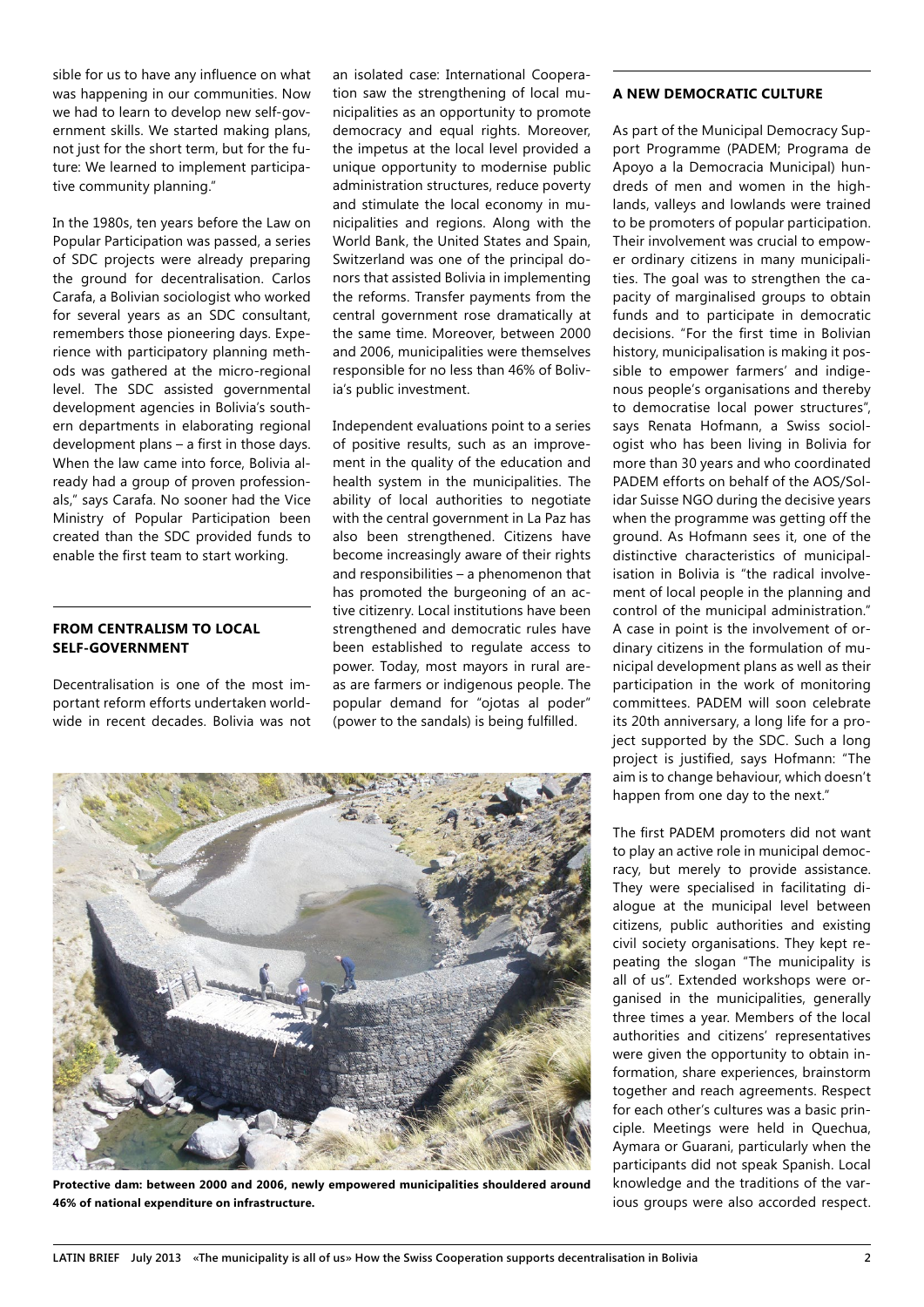sible for us to have any influence on what was happening in our communities. Now we had to learn to develop new self-government skills. We started making plans, not just for the short term, but for the future: We learned to implement participative community planning."

In the 1980s, ten years before the Law on Popular Participation was passed, a series of SDC projects were already preparing the ground for decentralisation. Carlos Carafa, a Bolivian sociologist who worked for several years as an SDC consultant, remembers those pioneering days. Experience with participatory planning methods was gathered at the micro-regional level. The SDC assisted governmental development agencies in Bolivia's southern departments in elaborating regional development plans – a first in those days. When the law came into force, Bolivia already had a group of proven professionals," says Carafa. No sooner had the Vice Ministry of Popular Participation been created than the SDC provided funds to enable the first team to start working.

# **From centralism to local self-government**

Decentralisation is one of the most important reform efforts undertaken worldwide in recent decades. Bolivia was not an isolated case: International Cooperation saw the strengthening of local municipalities as an opportunity to promote democracy and equal rights. Moreover, the impetus at the local level provided a unique opportunity to modernise public administration structures, reduce poverty and stimulate the local economy in municipalities and regions. Along with the World Bank, the United States and Spain, Switzerland was one of the principal donors that assisted Bolivia in implementing the reforms. Transfer payments from the central government rose dramatically at the same time. Moreover, between 2000 and 2006, municipalities were themselves responsible for no less than 46% of Bolivia's public investment.

Independent evaluations point to a series of positive results, such as an improvement in the quality of the education and health system in the municipalities. The ability of local authorities to negotiate with the central government in La Paz has also been strengthened. Citizens have become increasingly aware of their rights and responsibilities – a phenomenon that has promoted the burgeoning of an active citizenry. Local institutions have been strengthened and democratic rules have been established to regulate access to power. Today, most mayors in rural areas are farmers or indigenous people. The popular demand for "ojotas al poder" (power to the sandals) is being fulfilled.



**Protective dam: between 2000 and 2006, newly empowered municipalities shouldered around 46% of national expenditure on infrastructure.**

### **A new democratic culture**

As part of the Municipal Democracy Support Programme (PADEM; Programa de Apoyo a la Democracia Municipal) hundreds of men and women in the highlands, valleys and lowlands were trained to be promoters of popular participation. Their involvement was crucial to empower ordinary citizens in many municipalities. The goal was to strengthen the capacity of marginalised groups to obtain funds and to participate in democratic decisions. "For the first time in Bolivian history, municipalisation is making it possible to empower farmers' and indigenous people's organisations and thereby to democratise local power structures", says Renata Hofmann, a Swiss sociologist who has been living in Bolivia for more than 30 years and who coordinated PADEM efforts on behalf of the AOS/Solidar Suisse NGO during the decisive years when the programme was getting off the ground. As Hofmann sees it, one of the distinctive characteristics of municipalisation in Bolivia is "the radical involvement of local people in the planning and control of the municipal administration." A case in point is the involvement of ordinary citizens in the formulation of municipal development plans as well as their participation in the work of monitoring committees. PADEM will soon celebrate its 20th anniversary, a long life for a project supported by the SDC. Such a long project is justified, says Hofmann: "The aim is to change behaviour, which doesn't happen from one day to the next."

The first PADEM promoters did not want to play an active role in municipal democracy, but merely to provide assistance. They were specialised in facilitating dialogue at the municipal level between citizens, public authorities and existing civil society organisations. They kept repeating the slogan "The municipality is all of us". Extended workshops were organised in the municipalities, generally three times a year. Members of the local authorities and citizens' representatives were given the opportunity to obtain information, share experiences, brainstorm together and reach agreements. Respect for each other's cultures was a basic principle. Meetings were held in Quechua, Aymara or Guarani, particularly when the participants did not speak Spanish. Local knowledge and the traditions of the various groups were also accorded respect.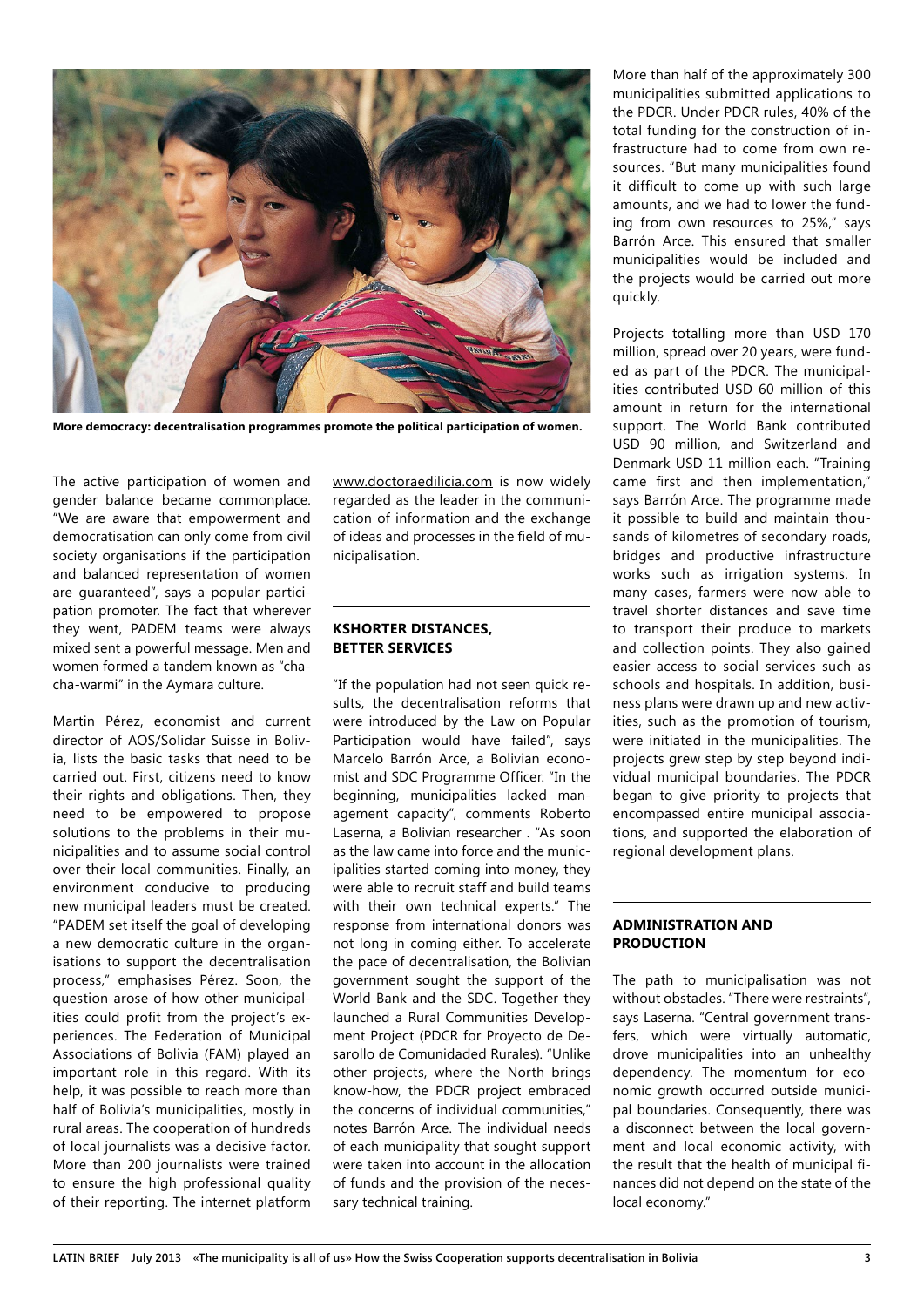

**More democracy: decentralisation programmes promote the political participation of women.**

The active participation of women and gender balance became commonplace. "We are aware that empowerment and democratisation can only come from civil society organisations if the participation and balanced representation of women are guaranteed", says a popular participation promoter. The fact that wherever they went, PADEM teams were always mixed sent a powerful message. Men and women formed a tandem known as "chacha-warmi" in the Aymara culture.

Martin Pérez, economist and current director of AOS/Solidar Suisse in Bolivia, lists the basic tasks that need to be carried out. First, citizens need to know their rights and obligations. Then, they need to be empowered to propose solutions to the problems in their municipalities and to assume social control over their local communities. Finally, an environment conducive to producing new municipal leaders must be created. "PADEM set itself the goal of developing a new democratic culture in the organisations to support the decentralisation process," emphasises Pérez. Soon, the question arose of how other municipalities could profit from the project's experiences. The Federation of Municipal Associations of Bolivia (FAM) played an important role in this regard. With its help, it was possible to reach more than half of Bolivia's municipalities, mostly in rural areas. The cooperation of hundreds of local journalists was a decisive factor. More than 200 journalists were trained to ensure the high professional quality of their reporting. The internet platform

[www.doctoraedilicia.com](http://www.doctoraedilicia.com) is now widely regarded as the leader in the communication of information and the exchange of ideas and processes in the field of municipalisation.

## **KShorter distances, better services**

"If the population had not seen quick results, the decentralisation reforms that were introduced by the Law on Popular Participation would have failed", says Marcelo Barrón Arce, a Bolivian economist and SDC Programme Officer. "In the beginning, municipalities lacked management capacity", comments Roberto Laserna, a Bolivian researcher . "As soon as the law came into force and the municipalities started coming into money, they were able to recruit staff and build teams with their own technical experts." The response from international donors was not long in coming either. To accelerate the pace of decentralisation, the Bolivian government sought the support of the World Bank and the SDC. Together they launched a Rural Communities Development Project (PDCR for Proyecto de Desarollo de Comunidaded Rurales). "Unlike other projects, where the North brings know-how, the PDCR project embraced the concerns of individual communities," notes Barrón Arce. The individual needs of each municipality that sought support were taken into account in the allocation of funds and the provision of the necessary technical training.

More than half of the approximately 300 municipalities submitted applications to the PDCR. Under PDCR rules, 40% of the total funding for the construction of infrastructure had to come from own resources. "But many municipalities found it difficult to come up with such large amounts, and we had to lower the funding from own resources to 25%," says Barrón Arce. This ensured that smaller municipalities would be included and the projects would be carried out more quickly.

Projects totalling more than USD 170 million, spread over 20 years, were funded as part of the PDCR. The municipalities contributed USD 60 million of this amount in return for the international support. The World Bank contributed USD 90 million, and Switzerland and Denmark USD 11 million each. "Training came first and then implementation," says Barrón Arce. The programme made it possible to build and maintain thousands of kilometres of secondary roads, bridges and productive infrastructure works such as irrigation systems. In many cases, farmers were now able to travel shorter distances and save time to transport their produce to markets and collection points. They also gained easier access to social services such as schools and hospitals. In addition, business plans were drawn up and new activities, such as the promotion of tourism, were initiated in the municipalities. The projects grew step by step beyond individual municipal boundaries. The PDCR began to give priority to projects that encompassed entire municipal associations, and supported the elaboration of regional development plans.

## **Administration and production**

The path to municipalisation was not without obstacles. "There were restraints", says Laserna. "Central government transfers, which were virtually automatic, drove municipalities into an unhealthy dependency. The momentum for economic growth occurred outside municipal boundaries. Consequently, there was a disconnect between the local government and local economic activity, with the result that the health of municipal finances did not depend on the state of the local economy."